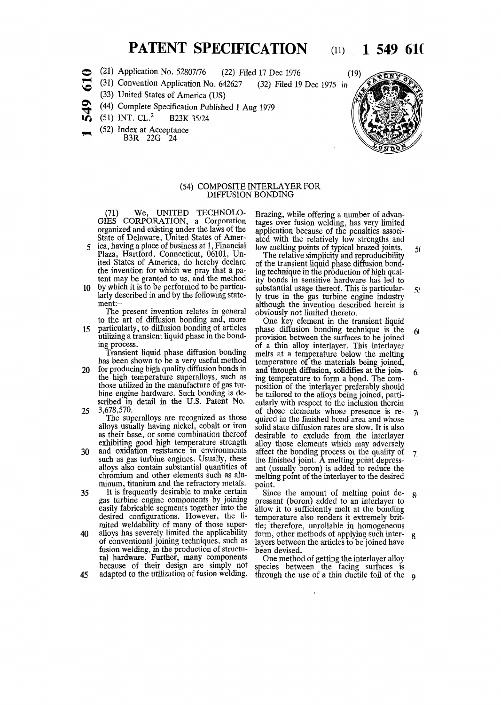## **PATENT SPECIFICATION** (11) 1 549 610

- o (21) Application No. 52807/76 (22) Filed 17 Dec 1976 (19)
- •H V© (31) Convention Application No. 642627 (32) Filed 19 Dec 1975 in
	- (33) United States of America (US)
- O. TT (44) Complete Specification Published 1 Aug 1979
- ın, (51) INT. CL.<sup>2</sup> B23K 35/24
- (52) Index at Acceptance
	- B3R 22G 24



## (54) COMPOSITE INTERLAYER FOR DIFFUSION BONDING

(71) We, UNITED TECHNOLO-GIES CORPORATION, a Corporation organized and existing under the laws of the State of Delaware, United States of Amer-

- 5 ica, having a place of business at 1, Financial Plaza, Hartford, Connecticut, 06101, United States of America, do hereby declare the invention for which we pray that a patent may be granted to us, and the method
- 10 by which it is to be performed to be particularly described in and by the following statement:-

The present invention relates in general to the art of diffusion bonding and, more

15 particularly, to diffusion bonding of articles utilizing a transient liquid phase in the bonding process.

Transient liquid phase diffusion bonding has been shown to be a very useful method

20 for producing high quality diffusion bonds in the high temperature superalloys, such as those utilized in the manufacture of gas turbine engine hardware. Such bonding is described in detail in the U.S. Patent No. 25 3,678,570.

The superalloys are recognized as those alloys usually having nickel, cobalt or iron as their base, or some combination thereof exhibiting good high temperature strength

30 and oxidation resistance in environments such as gas turbine engines. Usually, these alloys also contain substantial quantities of chromium and other elements such as aluminum, titanium and the refractory metals.

35 It is frequently desirable to make certain gas turbine engine components by joining easily fabricable segments together into the desired configurations. However, the limited weldability of many of those super-40 alloys has severely limited the applicability of conventional joining techniques, such as fusion welding, in the production of structural hardware. Further, many components

because of their design are simply not 45 adapted to the utilization of fusion welding.

Brazing, while offering a number of advantages over fusion welding, has very limited application because of the penalties associated with the relatively low strengths and low melting points of typical brazed joints.

The relative simplicity and reproducibility of the transient liquid phase diffusion bonding technique in the production of high quality bonds in sensitive hardware has led to substantial usage thereof. This is particularly true in the gas turbine engine industry although the invention described herein is obviously not limited thereto. 5( 5!

One key element in the transient liquid phase diffusion bonding technique is the 6< provision between the surfaces to be joined of a thin alloy interlayer. This interlayer melts at a temperature below the melting temperature of the materials being joined, and through diffusion, solidifies at the join-**6:** ing temperature to form a bond. The composition of the interlayer preferably should be tailored to the alloys being joined, particularly with respect to the inclusion therein of those elements whose presence is re- $7<sub>i</sub>$ quired in the finished bond area and whose solid state diffusion rates are slow. It is also desirable to exclude from the interlayer alloy those elements which may adversely affect the bonding process or the quality of  $\overline{7}$ the finished joint. A melting point depressant (usually boron) is added to reduce the melting point of the interlayer to the desired point.

Since the amount of melting point de- $\mathbf{R}$ pressant (boron) added to an interlayer to allow it to sufficiently melt at the bonding temperature also renders it extremely brittle; therefore, unreliable in homogeneous form, other methods of applying such interlayers between the articles to be joined have been devised.

One method of getting the interlayer alloy species between the facing surfaces is through the use of a thin ductile foil of the  $q_0$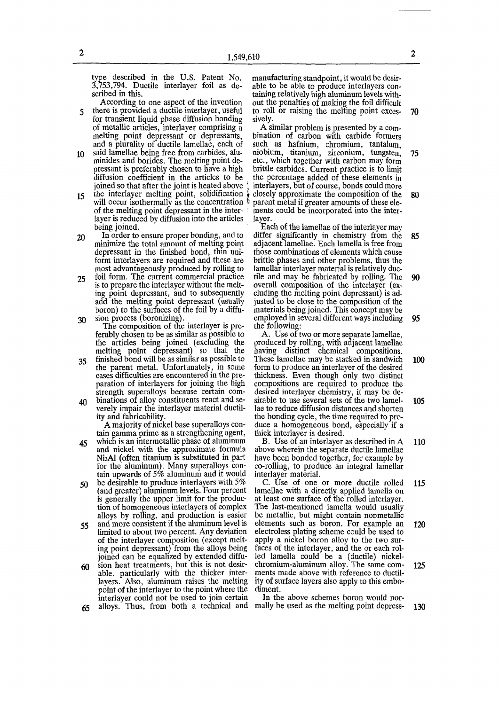type described in the U.S. Patent No. 3,753,794. Ductile interlayer foil as described in this.

According to one aspect of the invention 5 there is provided a ductile interlayer, useful

- for transient liquid phase diffusion bonding of metallic articles, interlayer comprising a melting point depressant or depressants, and a plurality of ductile lamellae, each of 10 said lamellae being free from carbides, alu-
- minides and borides. The melting point depressant is preferably chosen to have a high diffusion coefficient in the articles to be joined so that after the joint is heated above the interlayer melting point, solidification  $\frac{1}{8}$
- $15$ will occur isothermally as the concentration : of the melting point depressant in the inter layer is reduced by diffusion into the articles being joined.
- 20 In order to ensure proper bonding, and to minimize the total amount of melting point depressant in the finished bond, thin uniform interlayers are required and these are most advantageously produced by rolling to
- 25 foil form. The current commercial practice is to prepare the interlayer without the melting point depressant, and to subsequently add the melting point depressant (usually boron) to the surfaces of the foil by a diffu-30 sion process (boronizing).
	- The composition of the interlayer is preferably chosen to be as similar as possible to the articles being joined (excluding the melting point depressant) so that the
- 35 finished bond will be as similar as possible to the parent metal. Unfortunately, in some cases difficulties are encountered in the preparation of interlayers for joining the high strength superalloys because certain com-
- 40 binations of alloy constituents react and severely impair the interlayer material ductility and fabricability.

A majority of nickel base superalloys contain gamma prime as a strengthening agent,

- 45 which is an intermetallic phase of aluminum and nickel with the approximate formula NisAl (often titanium is substituted in part for the aluminum). Many superalloys contain upwards of 5% aluminum and it would
- 50 be desirable to produce interlayers with 5% (and greater) aluminum levels. Four percent is generally the upper limit for the production of homogeneous interlayers of complex alloys by rolling, and production is easier
- 55 and more consistent if the aluminum level is limited to about two percent. Any deviation of the interlayer composition (except melting point depressant) from the alloys being joined can be equalized by extended diffu-
- 60 sion heat treatments, but this is not desirable, particularly with the thicker interlayers. Also, aluminum raises the melting point of the interlayer to the point where the interlayer could not be used to join certain
- 65 alloys. Thus, from both a technical and

manufacturing standpoint, it would be desirable to be able to produce interlayers containing relatively high aluminum levels without the penalties of making the foil difficult to roll or raising the melting point exces- 70 sively.

A similar problem is presented by a combination of carbon with carbide formers such as hafnium, chromium, tantalum, niobium, titanium, zirconium, tungsten, 75 etc., which together with carbon may form brittle carbides. Current practice is to limit the percentage added of these elements in interlayers, but of course, bonds could more closely approximate the composition of the 80 parent metal if greater amounts of these elements could be incorporated into the interlayer.

Each of the lamellae of the interlayer may differ significantly in chemistry from the 85 adjacent lamellae. Each lamella is free from those combinations of elements which cause brittle phases and other problems, thus the lamellar interlayer material is relatively ductile and may be fabricated by rolling. The 90 overall composition of the interlayer (excluding the melting point depressant) is adjusted to be close to the composition of the materials being joined. This concept may be employed in several different ways including  $\theta$ 5 the following:

A. Use of two or more separate lamellae, produced by rolling, with adjacent lamellae having distinct chemical compositions. These lamellae may be stacked in sandwich 100 form to produce an interlayer of the desired thickness. Even though only two distinct compositions are required to produce the desired interlayer chemistry, it may be desirable to use several sets of the two lamel- 105 lae to reduce diffusion distances and shorten the bonding cycle, the time required to produce a homogeneous bond, especially if a thick interlayer is desired.

B. Use of an interlayer as described in A 110 above wherein the separate ductile lamellae have been bonded together, for example by co-rolling, to produce an integral lamellar interlayer material.

C. Use of one or more ductile rolled 115 lamellae with a directly applied lamella on at least one surface of the rolled interlayer. The last-mentioned lamella would usually be metallic, but might contain nonmetallic elements such as boron. For example an 120 electroless plating scheme could be used to apply a nickel boron alloy to the two surfaces of the interlayer, and the or each rolled lamella could be a (ductile) nickelchromium-aluminum alloy. The same com- 125 ments made above with reference to ductility of surface layers also apply to this embodiment.

In the above schemes boron would normally be used as the melting point depress- 130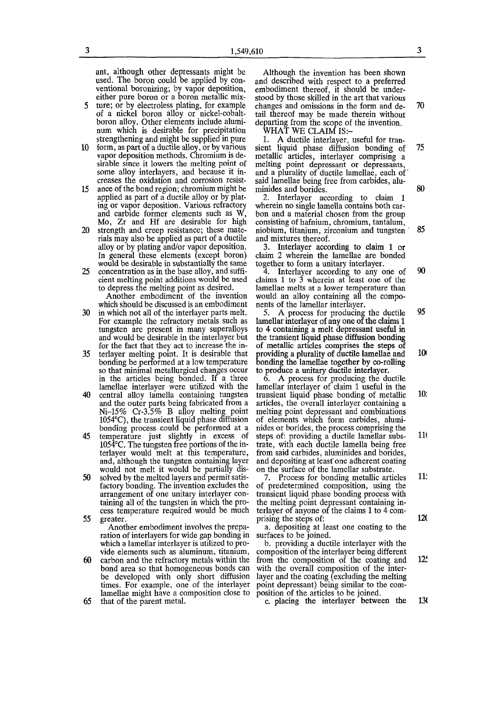$3 \hspace{1.5cm} 1,549,610$   $3$ 

ant, although other depressants might be used. The boron could be applied by conventional boronizing; by vapor deposition, either pure boron or a boron metallic mix-5 ture; or by electroless plating, for example

of a nickel boron alloy or nickel-cobaltboron alloy. Other elements include aluminum which is desirable for precipitation strengthening and might be supplied in pure

- 10 form, as part of a ductile alloy, or by various vapor deposition methods. Chromium is desirable since it lowers the melting point of some alloy interlayers, and because it increases the oxidation and corrosion resist-
- 15 ance of the bond region; chromium might be applied as part of a ductile alloy or by plating or vapor deposition. Various refractory and carbide former elements such as W, Mo, Zr and Hf are desirable for high
- 20 strength and creep resistance; these materials may also be applied as part of a ductile alloy or by plating and/or vapor deposition. In general these elements (except boron) would be desirable in substantially the same
- 25 concentration as in the base alloy, and sufficient melting point additions would be used to depress the melting point as desired.

Another embodiment of the invention which should be discussed is an embodiment

- 30 in which not all of the interlayer parts melt. For example the refractory metals such as tungsten are present in many superalloys and would be desirable in the interlayer but for the fact that they act to increase the in-
- 35 terlayer melting point. It is desirable that bonding be performed at a low temperature so that minimal metallurgical changes occur in the articles being bonded. If a three lamellae interlayer were utilized with the
- 40 central alloy lamella containing tungsten and the outer parts being fabricated from a Ni-15% Cr-3.5% B alloy melting point 1054°C), the transient liquid phase diffusion bonding process could be performed at a
- 45 temperature just slightly in excess of 1054°C. The tungsten free portions of the interlayer would melt at this temperature, and, although the tungsten containing layer would not melt it would be partially dis-
- 50 solved by the melted layers and permit satisfactory bonding. The invention excludes the arrangement of one unitary interlayer containing all of the tungsten in which the process temperature required would be much 55 greater.

Another embodiment involves the preparation of interlayers for wide gap bonding in which a lamellar interlayer is utilized to provide elements such as aluminum, titanium,

60 carbon and the refractory metals within the bond area so that homogeneous bonds can be developed with only short diffusion times. For example, one of the interlayer lamellae might have a composition close to

65 that of the parent metal.

Although the invention has been shown and described with respect to a preferred embodiment thereof, it should be understood by those skilled in the art that various changes and omissions in the form and de- 70 tail thereof may be made therein without departing from the scope of the invention.

WHAT WE CLAIM IS:-

1. A ductile interlayer, useful for transient liquid phase diffusion bonding of 75 metallic articles, interlayer comprising a melting point depressant or depressants, and a plurality of ductile lamellae, each of' said lamellae being free from carbides, aluminides and borides. 80

2. Interlayer according to claim 1 wherein no single lamella contains both carbon and a material chosen from the group consisting of hafnium, chromium, tantalum, niobium, titanium, zirconium and tungsten ' 85 and mixtures thereof.

3. Interlayer according to claim 1 or claim 2 wherein the lamellae are bonded together to form a unitary interlayer.

4. Interlayer according to any one of 90 claims 1 to 3 wherein at least one of the lamellae melts at a lower temperature than would an alloy containing all the components of the lamellar interlayer.

5. A process for producing the ductile 95 lamellar interlayer of any one of the claims 1 to 4 containing a melt depressant useful in the transient liquid phase diffusion bonding of metallic articles comprises the steps of providing a plurality of ductile lamellae and 10 bonding the lamellae together by co-rolling to produce a unitary ductile interlayer.

6. A process for producing the ductile lamellar interlayer of claim 1 useful in the transient liquid phase bonding of metallic 10: articles, the overall interlayer containing a melting point depressant and combinations of elements which form carbides, aluminides or borides, the process comprising the steps of: providing a ductile lamellar subs- 111 trate, with each ductile lamella being free from said carbides, aluminides and borides, and depositing at least'one adherent coating on the surface of the lamellar substrate.

7. Process for bonding metallic articles 11. of predetermined composition, using the transient liquid phase bonding process with the melting point depressant containing interlayer of anyone of the claims 1 to 4 comprising the steps of: 120

a. depositing at least one coating to the surfaces to be joined.

b. providing a ductile interlayer with the composition of the interlayer being different from the composition of the coating and 12! with the overall composition of the interlayer and the coating (excluding the melting point depressant) being similar to the composition of the articles to be joined.

c. placing the interlayer between the 13(